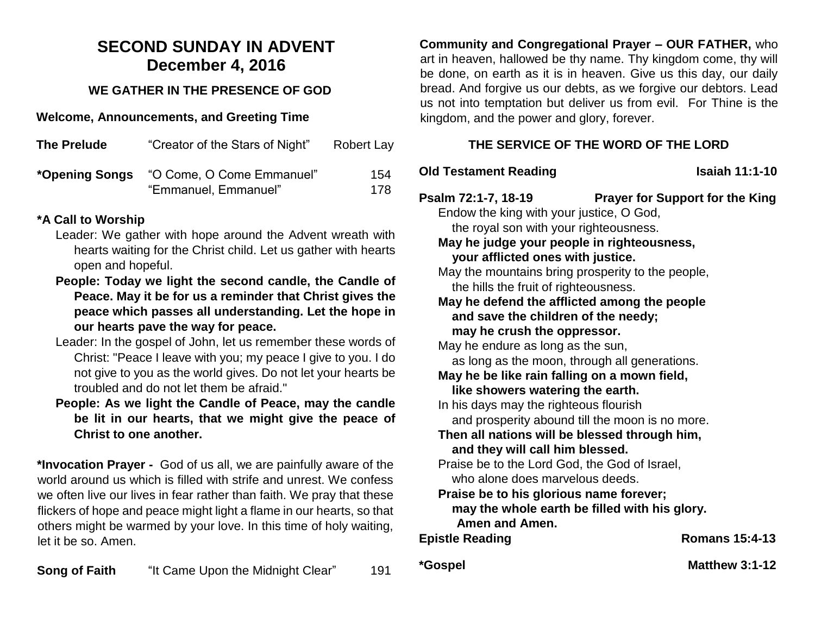# **SECOND SUNDAY IN ADVENT December 4, 2016**

## **WE GATHER IN THE PRESENCE OF GOD**

#### **Welcome, Announcements, and Greeting Time**

| <b>The Prelude</b> | "Creator of the Stars of Night"                   | Robert Lay |
|--------------------|---------------------------------------------------|------------|
| *Opening Songs     | "O Come, O Come Emmanuel"<br>"Emmanuel, Emmanuel" | 154<br>178 |

### **\*A Call to Worship**

- Leader: We gather with hope around the Advent wreath with hearts waiting for the Christ child. Let us gather with hearts open and hopeful.
- **People: Today we light the second candle, the Candle of Peace. May it be for us a reminder that Christ gives the peace which passes all understanding. Let the hope in our hearts pave the way for peace.**
- Leader: In the gospel of John, let us remember these words of Christ: "Peace I leave with you; my peace I give to you. I do not give to you as the world gives. Do not let your hearts be troubled and do not let them be afraid."
- **People: As we light the Candle of Peace, may the candle be lit in our hearts, that we might give the peace of Christ to one another.**

**\*Invocation Prayer -** God of us all, we are painfully aware of the world around us which is filled with strife and unrest. We confess we often live our lives in fear rather than faith. We pray that these flickers of hope and peace might light a flame in our hearts, so that others might be warmed by your love. In this time of holy waiting, let it be so. Amen.

**Song of Faith** "It Came Upon the Midnight Clear" 191

**Community and Congregational Prayer – OUR FATHER,** who art in heaven, hallowed be thy name. Thy kingdom come, thy will be done, on earth as it is in heaven. Give us this day, our daily bread. And forgive us our debts, as we forgive our debtors. Lead us not into temptation but deliver us from evil. For Thine is the kingdom, and the power and glory, forever.

# **THE SERVICE OF THE WORD OF THE LORD**

## **Old Testament Reading Isaiah 11:1-10**

**Psalm 72:1-7, 18-19 Prayer for Support for the King**

Endow the king with your justice, O God, the royal son with your righteousness.

**May he judge your people in righteousness, your afflicted ones with justice.**

May the mountains bring prosperity to the people, the hills the fruit of righteousness.

**May he defend the afflicted among the people and save the children of the needy; may he crush the oppressor.**

May he endure as long as the sun, as long as the moon, through all generations. **May he be like rain falling on a mown field, like showers watering the earth.**

In his days may the righteous flourish and prosperity abound till the moon is no more.

**Then all nations will be blessed through him, and they will call him blessed.**

Praise be to the Lord God, the God of Israel, who alone does marvelous deeds.

#### **Praise be to his glorious name forever; may the whole earth be filled with his glory. Amen and Amen.**

**Epistle Reading Community Romans 15:4-13** 

**\*Gospel Matthew 3:1-12**